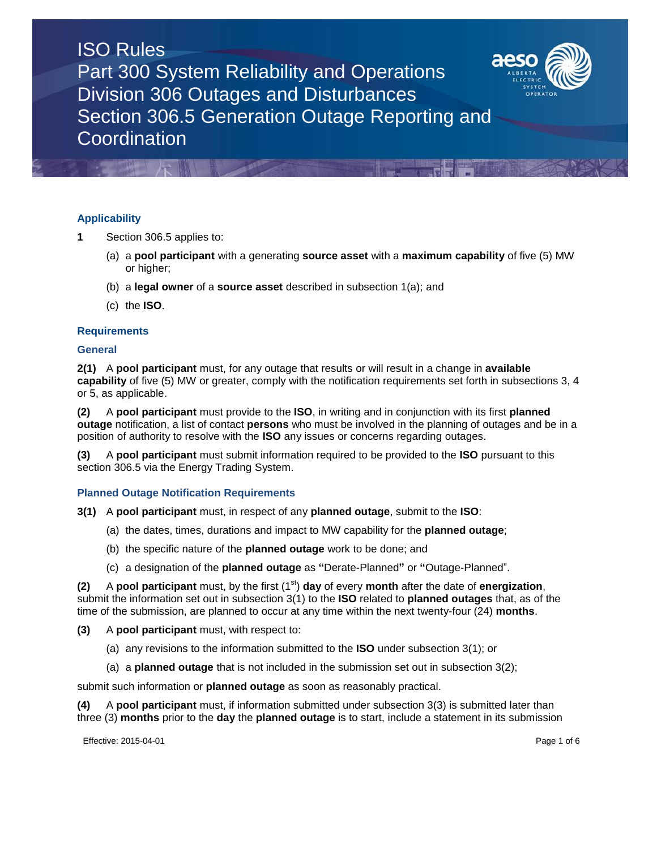# **Applicability**

- **1** Section 306.5 applies to:
	- (a) a **pool participant** with a generating **source asset** with a **maximum capability** of five (5) MW or higher;
	- (b) a **legal owner** of a **source asset** described in subsection 1(a); and
	- (c) the **ISO**.

# **Requirements**

## **General**

**2(1)** A **pool participant** must, for any outage that results or will result in a change in **available capability** of five (5) MW or greater, comply with the notification requirements set forth in subsections 3, 4 or 5, as applicable.

**(2)** A **pool participant** must provide to the **ISO**, in writing and in conjunction with its first **planned outage** notification, a list of contact **persons** who must be involved in the planning of outages and be in a position of authority to resolve with the **ISO** any issues or concerns regarding outages.

**(3)** A **pool participant** must submit information required to be provided to the **ISO** pursuant to this section 306.5 via the Energy Trading System.

## **Planned Outage Notification Requirements**

- **3(1)** A **pool participant** must, in respect of any **planned outage**, submit to the **ISO**:
	- (a) the dates, times, durations and impact to MW capability for the **planned outage**;
	- (b) the specific nature of the **planned outage** work to be done; and
	- (c) a designation of the **planned outage** as **"**Derate-Planned**"** or **"**Outage-Planned".

**(2)** A **pool participant** must, by the first (1<sup>st</sup>) **day** of every **month** after the date of **energization**, submit the information set out in subsection 3(1) to the **ISO** related to **planned outages** that, as of the time of the submission, are planned to occur at any time within the next twenty-four (24) **months**.

- **(3)** A **pool participant** must, with respect to:
	- (a) any revisions to the information submitted to the **ISO** under subsection 3(1); or
	- (a) a **planned outage** that is not included in the submission set out in subsection 3(2);

submit such information or **planned outage** as soon as reasonably practical.

**(4)** A **pool participant** must, if information submitted under subsection 3(3) is submitted later than three (3) **months** prior to the **day** the **planned outage** is to start, include a statement in its submission

Effective: 2015-04-01 Page 1 of 6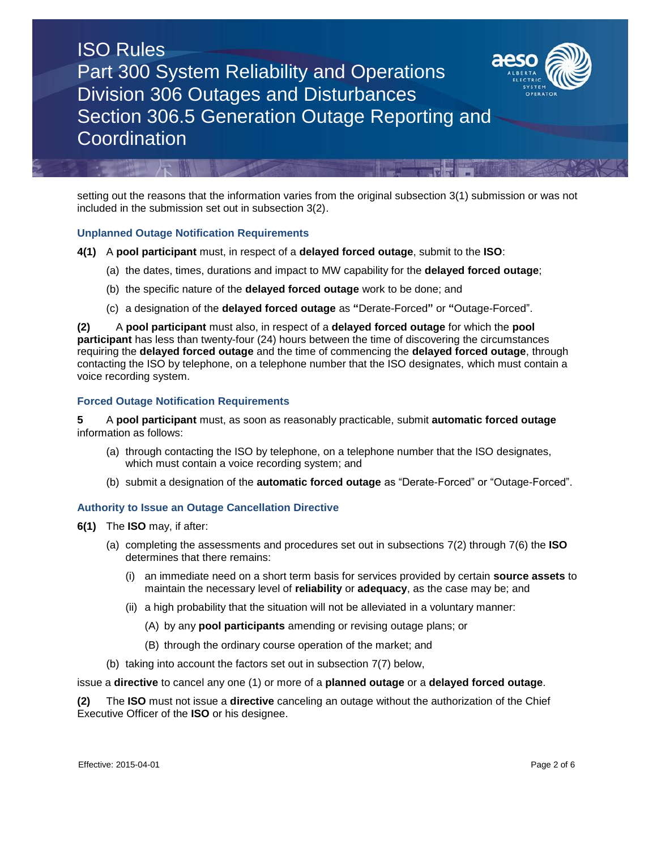

setting out the reasons that the information varies from the original subsection 3(1) submission or was not included in the submission set out in subsection 3(2).

## **Unplanned Outage Notification Requirements**

- **4(1)** A **pool participant** must, in respect of a **delayed forced outage**, submit to the **ISO**:
	- (a) the dates, times, durations and impact to MW capability for the **delayed forced outage**;
	- (b) the specific nature of the **delayed forced outage** work to be done; and
	- (c) a designation of the **delayed forced outage** as **"**Derate-Forced**"** or **"**Outage-Forced".

**(2)** A **pool participant** must also, in respect of a **delayed forced outage** for which the **pool participant** has less than twenty-four (24) hours between the time of discovering the circumstances requiring the **delayed forced outage** and the time of commencing the **delayed forced outage**, through contacting the ISO by telephone, on a telephone number that the ISO designates, which must contain a voice recording system.

#### **Forced Outage Notification Requirements**

**5** A **pool participant** must, as soon as reasonably practicable, submit **automatic forced outage** information as follows:

- (a) through contacting the ISO by telephone, on a telephone number that the ISO designates, which must contain a voice recording system; and
- (b) submit a designation of the **automatic forced outage** as "Derate-Forced" or "Outage-Forced".

## **Authority to Issue an Outage Cancellation Directive**

- **6(1)** The **ISO** may, if after:
	- (a) completing the assessments and procedures set out in subsections 7(2) through 7(6) the **ISO**  determines that there remains:
		- (i) an immediate need on a short term basis for services provided by certain **source assets** to maintain the necessary level of **reliability** or **adequacy**, as the case may be; and
		- (ii) a high probability that the situation will not be alleviated in a voluntary manner:
			- (A) by any **pool participants** amending or revising outage plans; or
			- (B) through the ordinary course operation of the market; and
	- (b) taking into account the factors set out in subsection 7(7) below,

issue a **directive** to cancel any one (1) or more of a **planned outage** or a **delayed forced outage**.

**(2)** The **ISO** must not issue a **directive** canceling an outage without the authorization of the Chief Executive Officer of the **ISO** or his designee.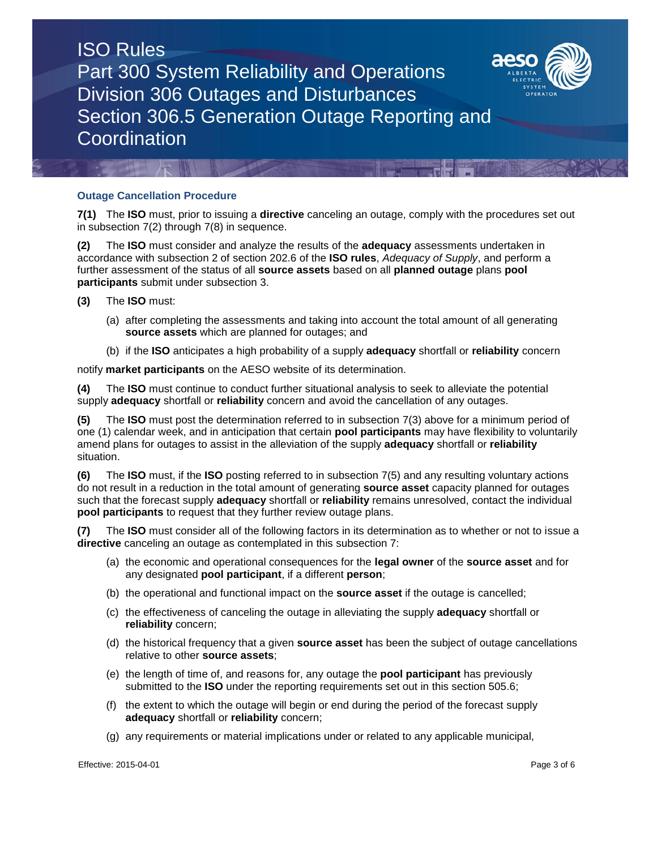

#### **Outage Cancellation Procedure**

**7(1)** The **ISO** must, prior to issuing a **directive** canceling an outage, comply with the procedures set out in subsection 7(2) through 7(8) in sequence.

**(2)** The **ISO** must consider and analyze the results of the **adequacy** assessments undertaken in accordance with subsection 2 of section 202.6 of the **ISO rules**, *Adequacy of Supply*, and perform a further assessment of the status of all **source assets** based on all **planned outage** plans **pool participants** submit under subsection 3.

- **(3)** The **ISO** must:
	- (a) after completing the assessments and taking into account the total amount of all generating **source assets** which are planned for outages; and
	- (b) if the **ISO** anticipates a high probability of a supply **adequacy** shortfall or **reliability** concern

notify **market participants** on the AESO website of its determination.

**(4)** The **ISO** must continue to conduct further situational analysis to seek to alleviate the potential supply **adequacy** shortfall or **reliability** concern and avoid the cancellation of any outages.

**(5)** The **ISO** must post the determination referred to in subsection 7(3) above for a minimum period of one (1) calendar week, and in anticipation that certain **pool participants** may have flexibility to voluntarily amend plans for outages to assist in the alleviation of the supply **adequacy** shortfall or **reliability** situation.

**(6)** The **ISO** must, if the **ISO** posting referred to in subsection 7(5) and any resulting voluntary actions do not result in a reduction in the total amount of generating **source asset** capacity planned for outages such that the forecast supply **adequacy** shortfall or **reliability** remains unresolved, contact the individual **pool participants** to request that they further review outage plans.

**(7)** The **ISO** must consider all of the following factors in its determination as to whether or not to issue a **directive** canceling an outage as contemplated in this subsection 7:

- (a) the economic and operational consequences for the **legal owner** of the **source asset** and for any designated **pool participant**, if a different **person**;
- (b) the operational and functional impact on the **source asset** if the outage is cancelled;
- (c) the effectiveness of canceling the outage in alleviating the supply **adequacy** shortfall or **reliability** concern;
- (d) the historical frequency that a given **source asset** has been the subject of outage cancellations relative to other **source assets**;
- (e) the length of time of, and reasons for, any outage the **pool participant** has previously submitted to the **ISO** under the reporting requirements set out in this section 505.6;
- (f) the extent to which the outage will begin or end during the period of the forecast supply **adequacy** shortfall or **reliability** concern;
- (g) any requirements or material implications under or related to any applicable municipal,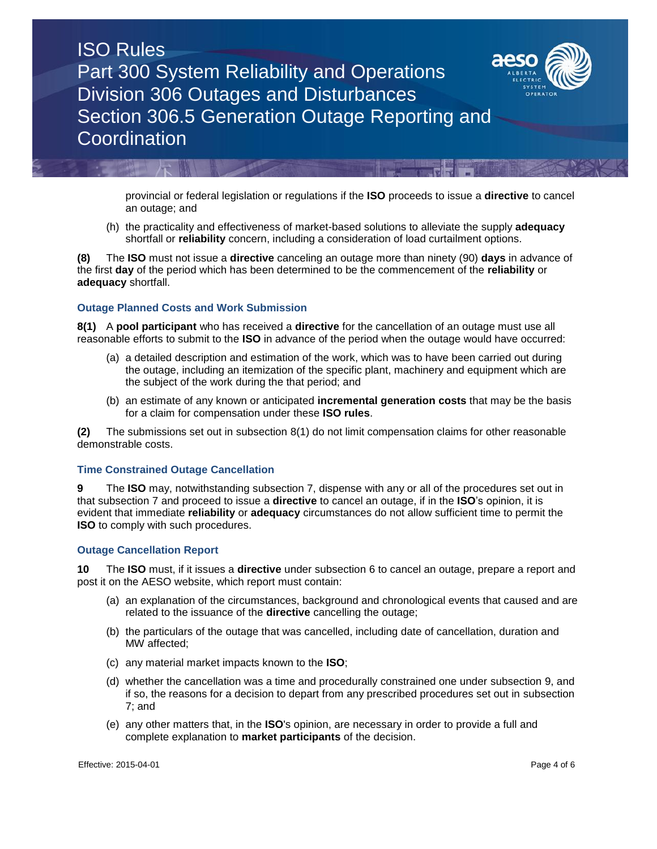



(h) the practicality and effectiveness of market-based solutions to alleviate the supply **adequacy**  shortfall or **reliability** concern, including a consideration of load curtailment options.

**(8)** The **ISO** must not issue a **directive** canceling an outage more than ninety (90) **days** in advance of the first **day** of the period which has been determined to be the commencement of the **reliability** or **adequacy** shortfall.

#### **Outage Planned Costs and Work Submission**

**8(1)** A **pool participant** who has received a **directive** for the cancellation of an outage must use all reasonable efforts to submit to the **ISO** in advance of the period when the outage would have occurred:

- (a) a detailed description and estimation of the work, which was to have been carried out during the outage, including an itemization of the specific plant, machinery and equipment which are the subject of the work during the that period; and
- (b) an estimate of any known or anticipated **incremental generation costs** that may be the basis for a claim for compensation under these **ISO rules**.

**(2)** The submissions set out in subsection 8(1) do not limit compensation claims for other reasonable demonstrable costs.

#### **Time Constrained Outage Cancellation**

**9** The **ISO** may, notwithstanding subsection 7, dispense with any or all of the procedures set out in that subsection 7 and proceed to issue a **directive** to cancel an outage, if in the **ISO**'s opinion, it is evident that immediate **reliability** or **adequacy** circumstances do not allow sufficient time to permit the **ISO** to comply with such procedures.

#### **Outage Cancellation Report**

**10** The **ISO** must, if it issues a **directive** under subsection 6 to cancel an outage, prepare a report and post it on the AESO website, which report must contain:

- (a) an explanation of the circumstances, background and chronological events that caused and are related to the issuance of the **directive** cancelling the outage;
- (b) the particulars of the outage that was cancelled, including date of cancellation, duration and MW affected;
- (c) any material market impacts known to the **ISO**;
- (d) whether the cancellation was a time and procedurally constrained one under subsection 9, and if so, the reasons for a decision to depart from any prescribed procedures set out in subsection 7; and
- (e) any other matters that, in the **ISO**'s opinion, are necessary in order to provide a full and complete explanation to **market participants** of the decision.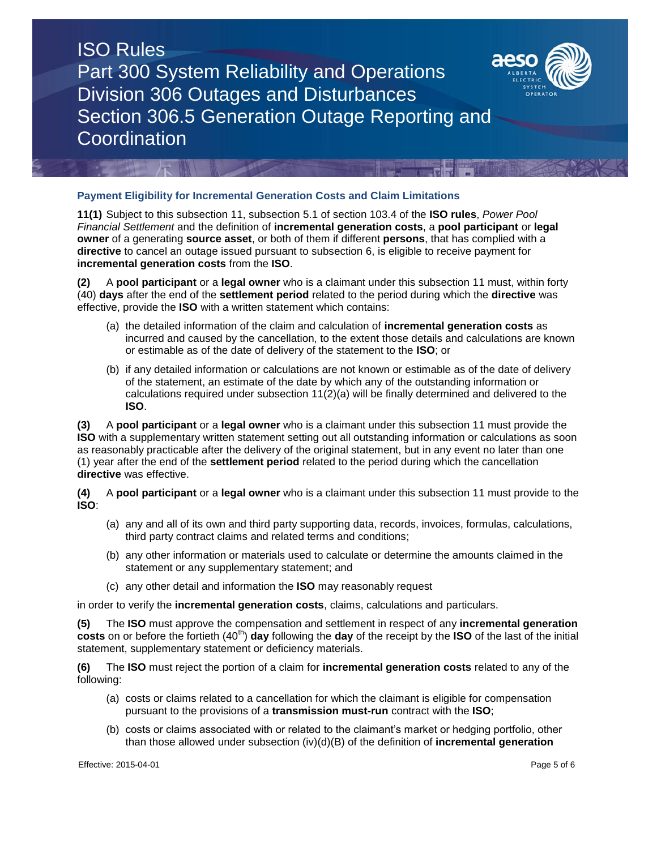

#### **Payment Eligibility for Incremental Generation Costs and Claim Limitations**

**11(1)** Subject to this subsection 11, subsection 5.1 of section 103.4 of the **ISO rules**, *Power Pool Financial Settlement* and the definition of **incremental generation costs**, a **pool participant** or **legal owner** of a generating **source asset**, or both of them if different **persons**, that has complied with a **directive** to cancel an outage issued pursuant to subsection 6, is eligible to receive payment for **incremental generation costs** from the **ISO**.

**(2)** A **pool participant** or a **legal owner** who is a claimant under this subsection 11 must, within forty (40) **days** after the end of the **settlement period** related to the period during which the **directive** was effective, provide the **ISO** with a written statement which contains:

- (a) the detailed information of the claim and calculation of **incremental generation costs** as incurred and caused by the cancellation, to the extent those details and calculations are known or estimable as of the date of delivery of the statement to the **ISO**; or
- (b) if any detailed information or calculations are not known or estimable as of the date of delivery of the statement, an estimate of the date by which any of the outstanding information or calculations required under subsection 11(2)(a) will be finally determined and delivered to the **ISO**.

**(3)** A **pool participant** or a **legal owner** who is a claimant under this subsection 11 must provide the **ISO** with a supplementary written statement setting out all outstanding information or calculations as soon as reasonably practicable after the delivery of the original statement, but in any event no later than one (1) year after the end of the **settlement period** related to the period during which the cancellation **directive** was effective.

**(4)** A **pool participant** or a **legal owner** who is a claimant under this subsection 11 must provide to the **ISO**:

- (a) any and all of its own and third party supporting data, records, invoices, formulas, calculations, third party contract claims and related terms and conditions;
- (b) any other information or materials used to calculate or determine the amounts claimed in the statement or any supplementary statement; and
- (c) any other detail and information the **ISO** may reasonably request

in order to verify the **incremental generation costs**, claims, calculations and particulars.

**(5)** The **ISO** must approve the compensation and settlement in respect of any **incremental generation costs** on or before the fortieth (40<sup>th</sup>) **day** following the **day** of the receipt by the **ISO** of the last of the initial statement, supplementary statement or deficiency materials.

**(6)** The **ISO** must reject the portion of a claim for **incremental generation costs** related to any of the following:

- (a) costs or claims related to a cancellation for which the claimant is eligible for compensation pursuant to the provisions of a **transmission must-run** contract with the **ISO**;
- (b) costs or claims associated with or related to the claimant's market or hedging portfolio, other than those allowed under subsection (iv)(d)(B) of the definition of **incremental generation**